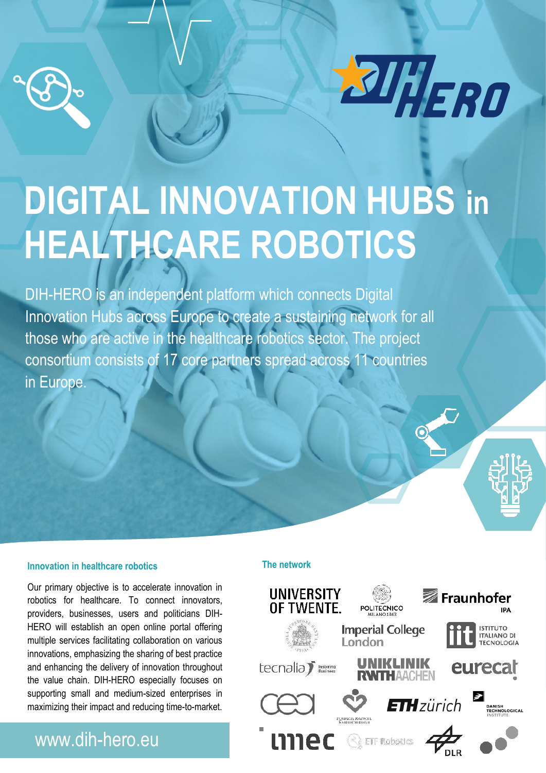



# **DIGITAL INNOVATION HUBS in HEALTHCARE ROBOTICS**

DIH-HERO is an independent platform which connects Digital Innovation Hubs across Europe to create a sustaining network for all those who are active in the healthcare robotics sector. The project consortium consists of 17 core partners spread across 11 countries in Europe.

#### **Innovation in healthcare robotics**

innovations, emphasizing the sharing of best practice Our primary objective is to accelerate innovation in robotics for healthcare. To connect innovators, providers, businesses, users and politicians DIH-HERO will establish an open online portal offering multiple services facilitating collaboration on various and enhancing the delivery of innovation throughout the value chain. DIH-HERO especially focuses on supporting small and medium-sized enterprises in maximizing their impact and reducing time-to-market.

### www.dih-hero.eu

#### **The network**